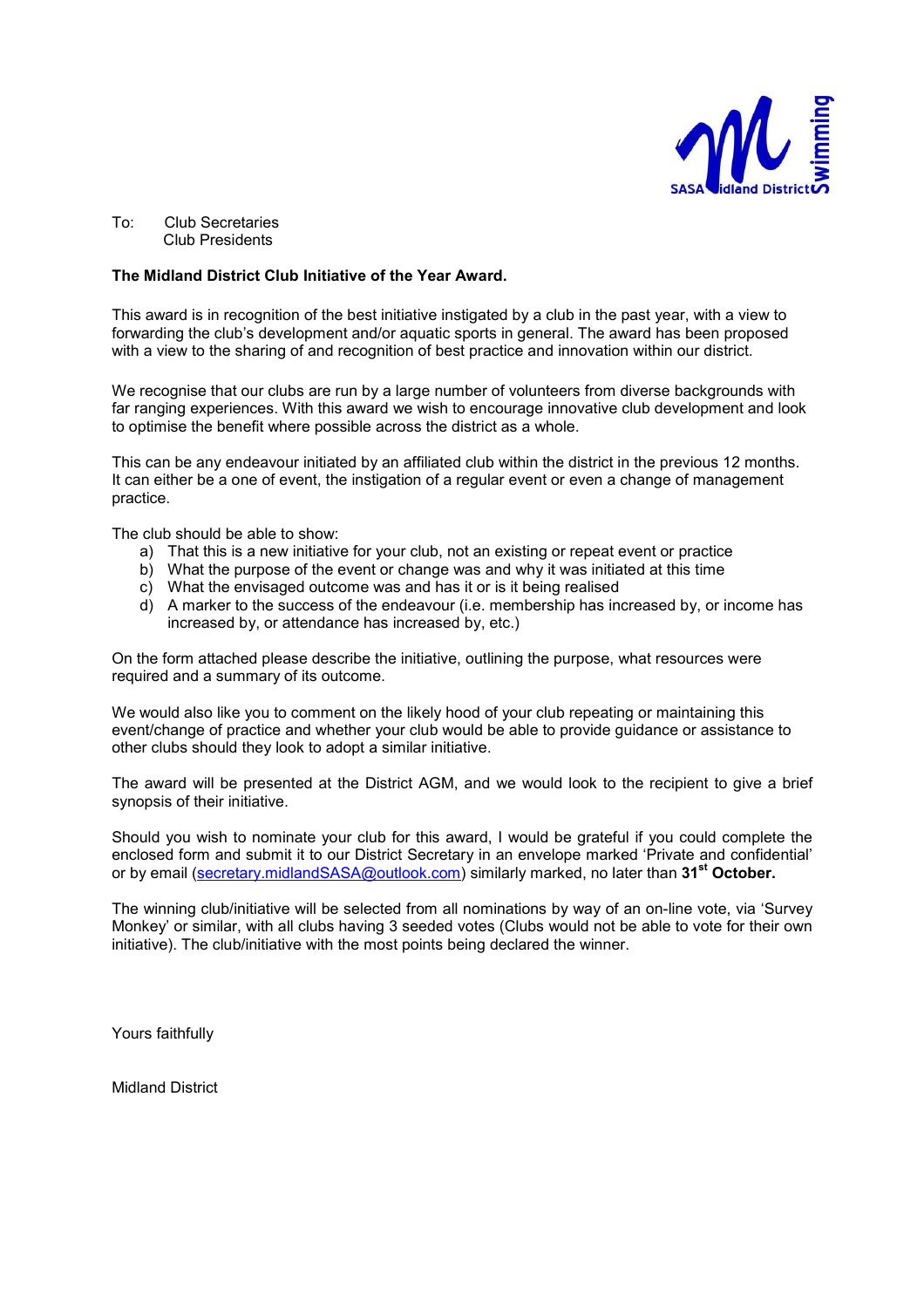

To: Club Secretaries Club Presidents

#### **The Midland District Club Initiative of the Year Award.**

This award is in recognition of the best initiative instigated by a club in the past year, with a view to forwarding the club's development and/or aquatic sports in general. The award has been proposed with a view to the sharing of and recognition of best practice and innovation within our district.

We recognise that our clubs are run by a large number of volunteers from diverse backgrounds with far ranging experiences. With this award we wish to encourage innovative club development and look to optimise the benefit where possible across the district as a whole.

This can be any endeavour initiated by an affiliated club within the district in the previous 12 months. It can either be a one of event, the instigation of a regular event or even a change of management practice.

The club should be able to show:

- a) That this is a new initiative for your club, not an existing or repeat event or practice
- b) What the purpose of the event or change was and why it was initiated at this time
- c) What the envisaged outcome was and has it or is it being realised
- d) A marker to the success of the endeavour (i.e. membership has increased by, or income has increased by, or attendance has increased by, etc.)

On the form attached please describe the initiative, outlining the purpose, what resources were required and a summary of its outcome.

We would also like you to comment on the likely hood of your club repeating or maintaining this event/change of practice and whether your club would be able to provide guidance or assistance to other clubs should they look to adopt a similar initiative.

The award will be presented at the District AGM, and we would look to the recipient to give a brief synopsis of their initiative.

Should you wish to nominate your club for this award, I would be grateful if you could complete the enclosed form and submit it to our District Secretary in an envelope marked 'Private and confidential' or by email (secretary.midlandSASA@outlook.com) similarly marked, no later than **31st October.**

The winning club/initiative will be selected from all nominations by way of an on-line vote, via 'Survey Monkey' or similar, with all clubs having 3 seeded votes (Clubs would not be able to vote for their own initiative). The club/initiative with the most points being declared the winner.

Yours faithfully

Midland District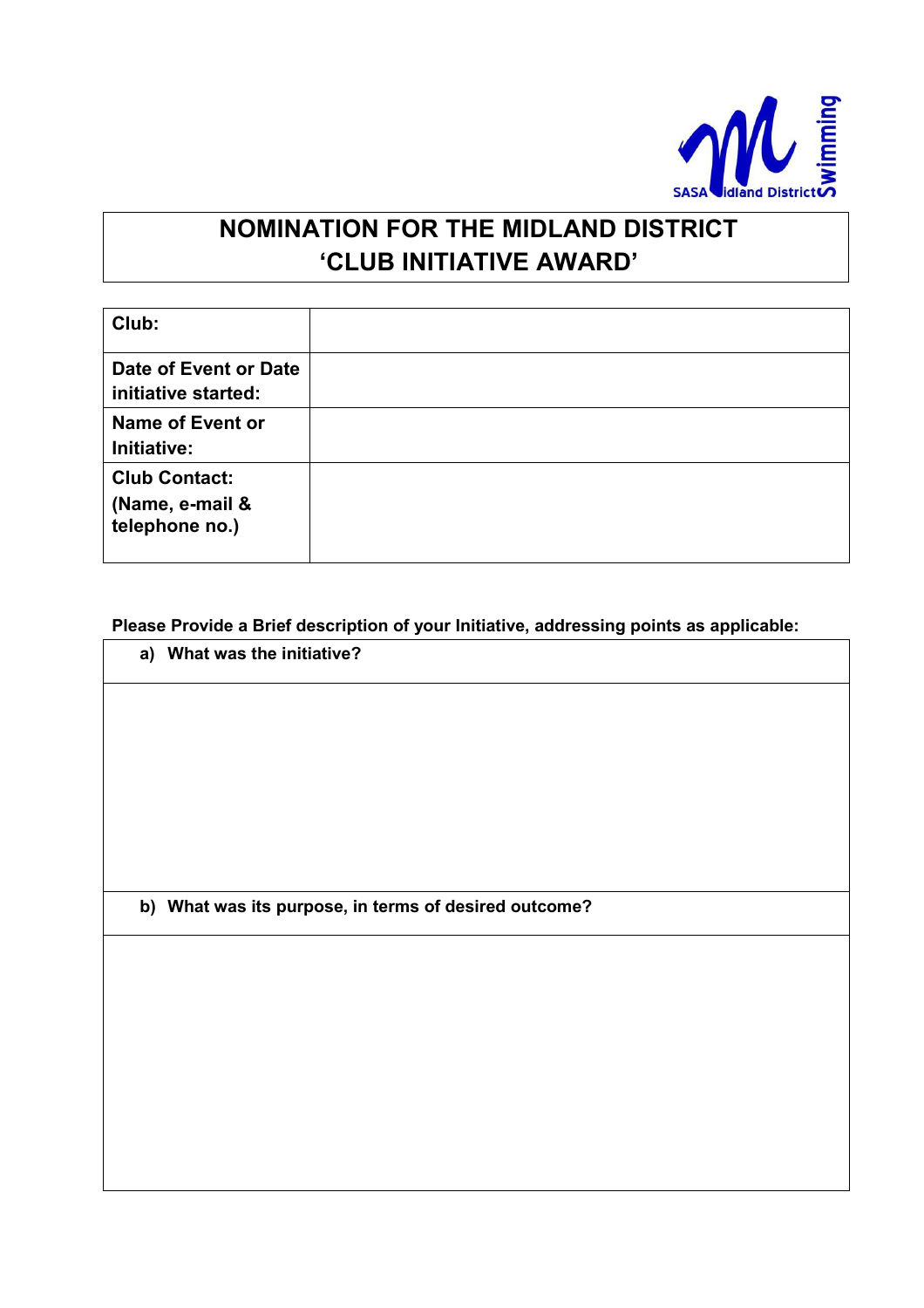

# **'CLUB INITIATIVE AWARD'**

| Club:                                                     |  |
|-----------------------------------------------------------|--|
| Date of Event or Date<br>initiative started:              |  |
| <b>Name of Event or</b><br>Initiative:                    |  |
| <b>Club Contact:</b><br>(Name, e-mail &<br>telephone no.) |  |

### **Please Provide a Brief description of your Initiative, addressing points as applicable:**

### **a) What was the initiative?**

**b) What was its purpose, in terms of desired outcome?**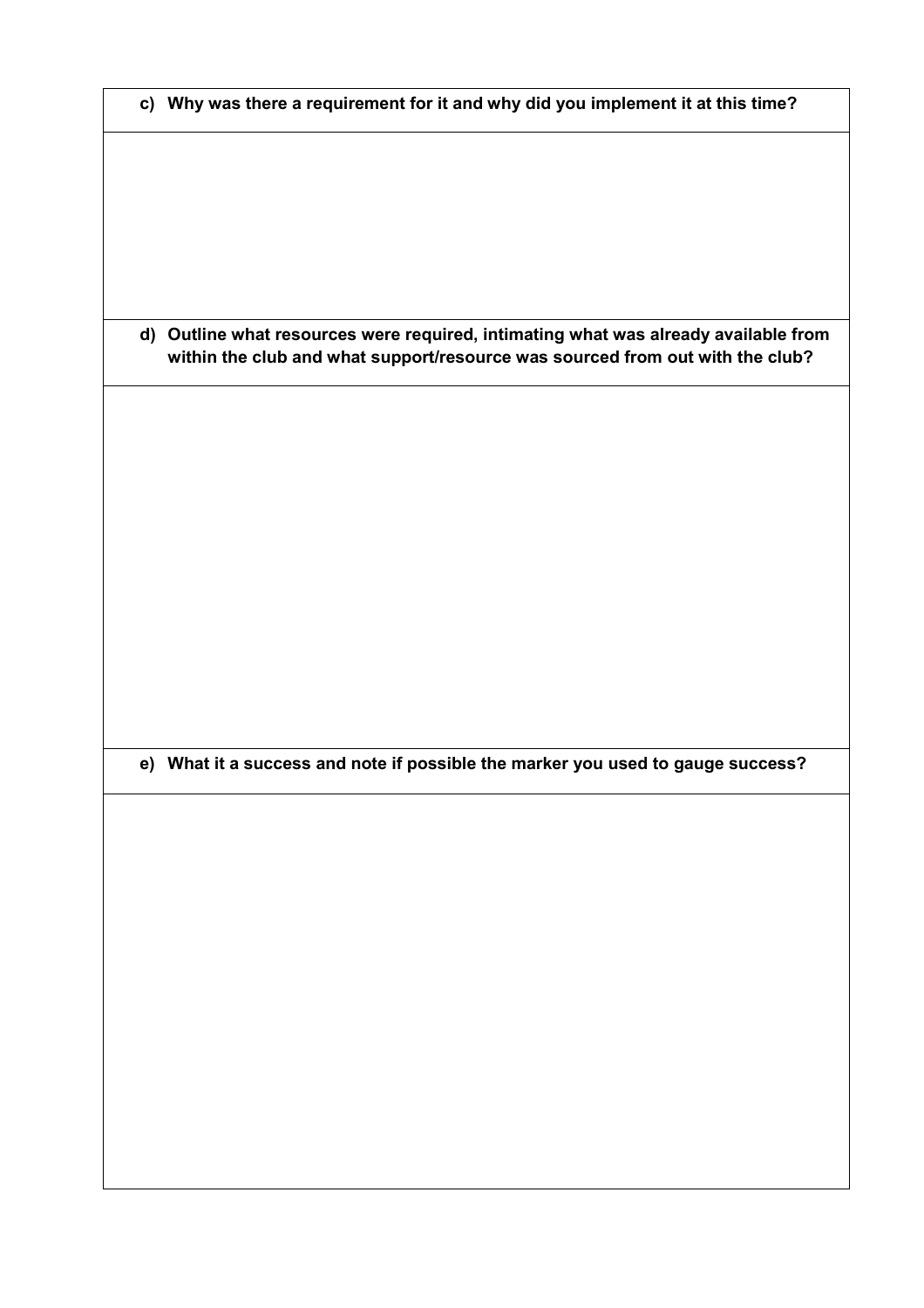|  | c) Why was there a requirement for it and why did you implement it at this time? |  |  |  |  |
|--|----------------------------------------------------------------------------------|--|--|--|--|
|--|----------------------------------------------------------------------------------|--|--|--|--|

**d) Outline what resources were required, intimating what was already available from within the club and what support/resource was sourced from out with the club?** 

**e) What it a success and note if possible the marker you used to gauge success?**